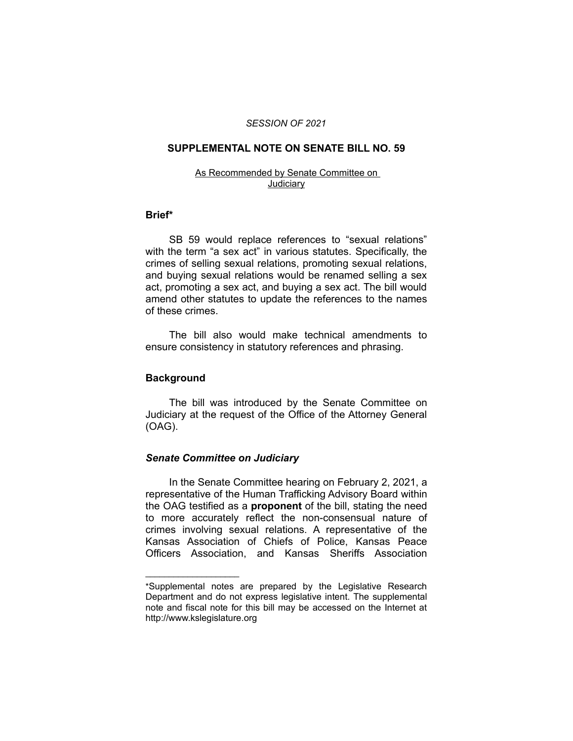### *SESSION OF 2021*

## **SUPPLEMENTAL NOTE ON SENATE BILL NO. 59**

#### As Recommended by Senate Committee on **Judiciary**

### **Brief\***

SB 59 would replace references to "sexual relations" with the term "a sex act" in various statutes. Specifically, the crimes of selling sexual relations, promoting sexual relations, and buying sexual relations would be renamed selling a sex act, promoting a sex act, and buying a sex act. The bill would amend other statutes to update the references to the names of these crimes.

The bill also would make technical amendments to ensure consistency in statutory references and phrasing.

### **Background**

The bill was introduced by the Senate Committee on Judiciary at the request of the Office of the Attorney General (OAG).

## *Senate Committee on Judiciary*

 $\overline{\phantom{a}}$  , where  $\overline{\phantom{a}}$  , where  $\overline{\phantom{a}}$ 

In the Senate Committee hearing on February 2, 2021, a representative of the Human Trafficking Advisory Board within the OAG testified as a **proponent** of the bill, stating the need to more accurately reflect the non-consensual nature of crimes involving sexual relations. A representative of the Kansas Association of Chiefs of Police, Kansas Peace Officers Association, and Kansas Sheriffs Association

<sup>\*</sup>Supplemental notes are prepared by the Legislative Research Department and do not express legislative intent. The supplemental note and fiscal note for this bill may be accessed on the Internet at http://www.kslegislature.org